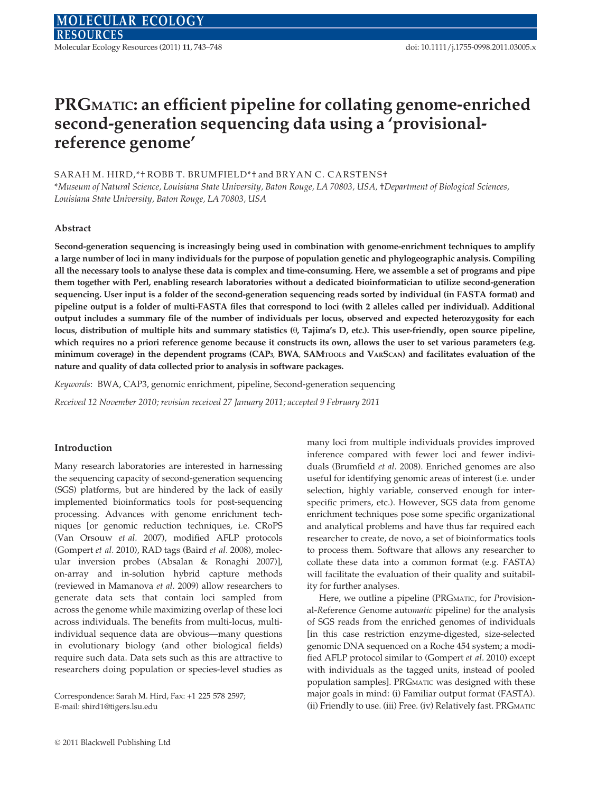Molecular Ecology Resources (2011) 11, 743–748 doi: 10.1111/j.1755-0998.2011.03005.x

# PRGMATIC: an efficient pipeline for collating genome-enriched second-generation sequencing data using a 'provisionalreference genome'

SARAH M. HIRD,\*† ROBB T. BRUMFIELD\*† and BRYAN C. CARSTENS+

\*Museum of Natural Science, Louisiana State University, Baton Rouge, LA 70803, USA, †Department of Biological Sciences, Louisiana State University, Baton Rouge, LA 70803, USA

## Abstract

Second-generation sequencing is increasingly being used in combination with genome-enrichment techniques to amplify a large number of loci in many individuals for the purpose of population genetic and phylogeographic analysis. Compiling all the necessary tools to analyse these data is complex and time-consuming. Here, we assemble a set of programs and pipe them together with Perl, enabling research laboratories without a dedicated bioinformatician to utilize second-generation sequencing. User input is a folder of the second-generation sequencing reads sorted by individual (in FASTA format) and pipeline output is a folder of multi-FASTA files that correspond to loci (with 2 alleles called per individual). Additional output includes a summary file of the number of individuals per locus, observed and expected heterozygosity for each locus, distribution of multiple hits and summary statistics ( $\theta$ , Tajima's D, etc.). This user-friendly, open source pipeline, which requires no a priori reference genome because it constructs its own, allows the user to set various parameters (e.g. minimum coverage) in the dependent programs (CAP3, BWA, SAMTOOLS and VARSCAN) and facilitates evaluation of the nature and quality of data collected prior to analysis in software packages.

Keywords: BWA, CAP3, genomic enrichment, pipeline, Second-generation sequencing

Received 12 November 2010; revision received 27 January 2011; accepted 9 February 2011

# Introduction

Many research laboratories are interested in harnessing the sequencing capacity of second-generation sequencing (SGS) platforms, but are hindered by the lack of easily implemented bioinformatics tools for post-sequencing processing. Advances with genome enrichment techniques [or genomic reduction techniques, i.e. CRoPS (Van Orsouw et al. 2007), modified AFLP protocols (Gompert et al. 2010), RAD tags (Baird et al. 2008), molecular inversion probes (Absalan & Ronaghi 2007)], on-array and in-solution hybrid capture methods (reviewed in Mamanova et al. 2009) allow researchers to generate data sets that contain loci sampled from across the genome while maximizing overlap of these loci across individuals. The benefits from multi-locus, multiindividual sequence data are obvious—many questions in evolutionary biology (and other biological fields) require such data. Data sets such as this are attractive to researchers doing population or species-level studies as

Correspondence: Sarah M. Hird, Fax: +1 225 578 2597; E-mail: shird1@tigers.lsu.edu

many loci from multiple individuals provides improved inference compared with fewer loci and fewer individuals (Brumfield et al. 2008). Enriched genomes are also useful for identifying genomic areas of interest (i.e. under selection, highly variable, conserved enough for interspecific primers, etc.). However, SGS data from genome enrichment techniques pose some specific organizational and analytical problems and have thus far required each researcher to create, de novo, a set of bioinformatics tools to process them. Software that allows any researcher to collate these data into a common format (e.g. FASTA) will facilitate the evaluation of their quality and suitability for further analyses.

Here, we outline a pipeline (PRGMATIC, for Provisional-Reference Genome automatic pipeline) for the analysis of SGS reads from the enriched genomes of individuals [in this case restriction enzyme-digested, size-selected genomic DNA sequenced on a Roche 454 system; a modified AFLP protocol similar to (Gompert et al. 2010) except with individuals as the tagged units, instead of pooled population samples]. PRGMATIC was designed with these major goals in mind: (i) Familiar output format (FASTA). (ii) Friendly to use. (iii) Free. (iv) Relatively fast. PRGMATIC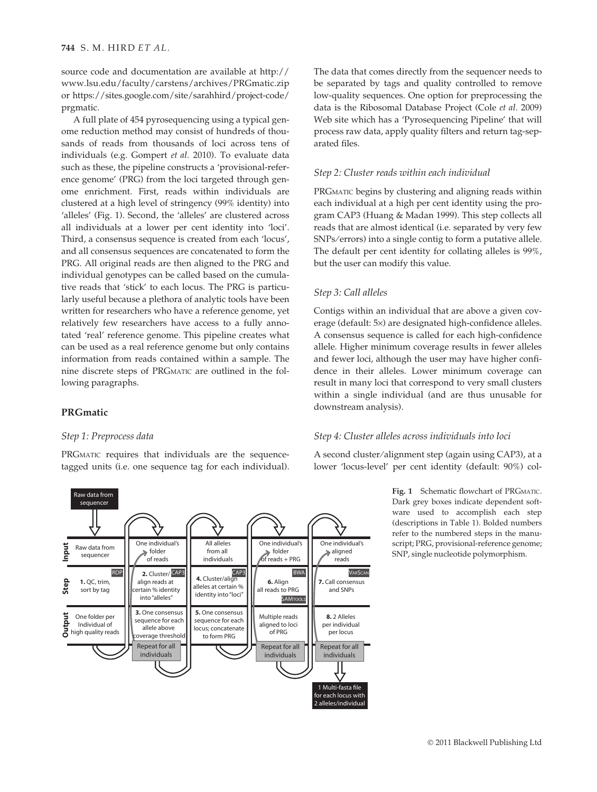# 744 S. M. HIRD ET AL.

source code and documentation are available at http:// www.lsu.edu/faculty/carstens/archives/PRGmatic.zip or https://sites.google.com/site/sarahhird/project-code/ prgmatic.

A full plate of 454 pyrosequencing using a typical genome reduction method may consist of hundreds of thousands of reads from thousands of loci across tens of individuals (e.g. Gompert et al. 2010). To evaluate data such as these, the pipeline constructs a 'provisional-reference genome' (PRG) from the loci targeted through genome enrichment. First, reads within individuals are clustered at a high level of stringency (99% identity) into 'alleles' (Fig. 1). Second, the 'alleles' are clustered across all individuals at a lower per cent identity into 'loci'. Third, a consensus sequence is created from each 'locus', and all consensus sequences are concatenated to form the PRG. All original reads are then aligned to the PRG and individual genotypes can be called based on the cumulative reads that 'stick' to each locus. The PRG is particularly useful because a plethora of analytic tools have been written for researchers who have a reference genome, yet relatively few researchers have access to a fully annotated 'real' reference genome. This pipeline creates what can be used as a real reference genome but only contains information from reads contained within a sample. The nine discrete steps of PRGMATIC are outlined in the following paragraphs.

## PRGmatic

## Step 1: Preprocess data

PRGMATIC requires that individuals are the sequencetagged units (i.e. one sequence tag for each individual).



The data that comes directly from the sequencer needs to be separated by tags and quality controlled to remove low-quality sequences. One option for preprocessing the data is the Ribosomal Database Project (Cole et al. 2009) Web site which has a 'Pyrosequencing Pipeline' that will process raw data, apply quality filters and return tag-separated files.

## Step 2: Cluster reads within each individual

PRGMATIC begins by clustering and aligning reads within each individual at a high per cent identity using the program CAP3 (Huang & Madan 1999). This step collects all reads that are almost identical (i.e. separated by very few SNPs/errors) into a single contig to form a putative allele. The default per cent identity for collating alleles is 99%, but the user can modify this value.

#### Step 3: Call alleles

Contigs within an individual that are above a given coverage (default: 5×) are designated high-confidence alleles. A consensus sequence is called for each high-confidence allele. Higher minimum coverage results in fewer alleles and fewer loci, although the user may have higher confidence in their alleles. Lower minimum coverage can result in many loci that correspond to very small clusters within a single individual (and are thus unusable for downstream analysis).

## Step 4: Cluster alleles across individuals into loci

A second cluster⁄ alignment step (again using CAP3), at a lower 'locus-level' per cent identity (default: 90%) col-

> Fig. 1 Schematic flowchart of PRGMATIC. Dark grey boxes indicate dependent software used to accomplish each step (descriptions in Table 1). Bolded numbers refer to the numbered steps in the manuscript; PRG, provisional-reference genome; SNP, single nucleotide polymorphism.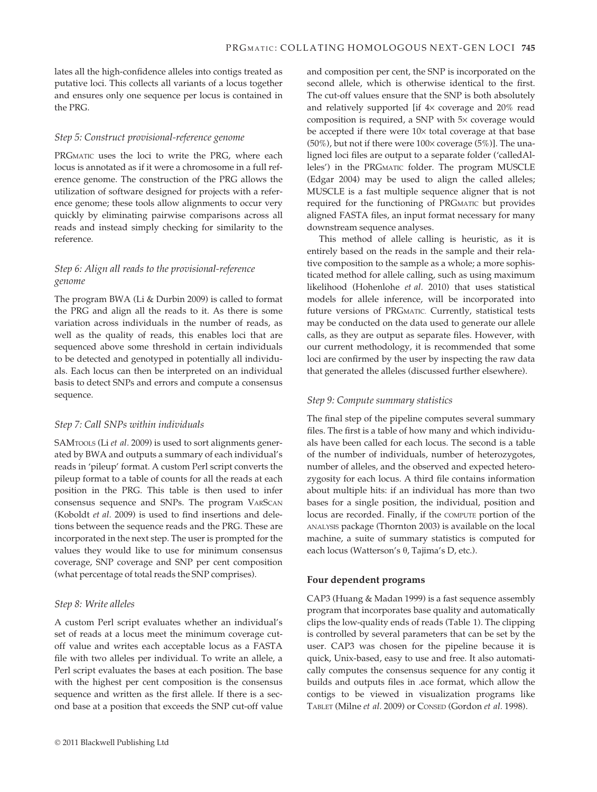lates all the high-confidence alleles into contigs treated as putative loci. This collects all variants of a locus together and ensures only one sequence per locus is contained in the PRG.

# Step 5: Construct provisional-reference genome

PRGMATIC uses the loci to write the PRG, where each locus is annotated as if it were a chromosome in a full reference genome. The construction of the PRG allows the utilization of software designed for projects with a reference genome; these tools allow alignments to occur very quickly by eliminating pairwise comparisons across all reads and instead simply checking for similarity to the reference.

# Step 6: Align all reads to the provisional-reference genome

The program BWA (Li & Durbin 2009) is called to format the PRG and align all the reads to it. As there is some variation across individuals in the number of reads, as well as the quality of reads, this enables loci that are sequenced above some threshold in certain individuals to be detected and genotyped in potentially all individuals. Each locus can then be interpreted on an individual basis to detect SNPs and errors and compute a consensus sequence.

# Step 7: Call SNPs within individuals

SAMTOOLS (Li et al. 2009) is used to sort alignments generated by BWA and outputs a summary of each individual's reads in 'pileup' format. A custom Perl script converts the pileup format to a table of counts for all the reads at each position in the PRG. This table is then used to infer consensus sequence and SNPs. The program VARSCAN (Koboldt et al. 2009) is used to find insertions and deletions between the sequence reads and the PRG. These are incorporated in the next step. The user is prompted for the values they would like to use for minimum consensus coverage, SNP coverage and SNP per cent composition (what percentage of total reads the SNP comprises).

#### Step 8: Write alleles

A custom Perl script evaluates whether an individual's set of reads at a locus meet the minimum coverage cutoff value and writes each acceptable locus as a FASTA file with two alleles per individual. To write an allele, a Perl script evaluates the bases at each position. The base with the highest per cent composition is the consensus sequence and written as the first allele. If there is a second base at a position that exceeds the SNP cut-off value

and composition per cent, the SNP is incorporated on the second allele, which is otherwise identical to the first. The cut-off values ensure that the SNP is both absolutely and relatively supported [if  $4\times$  coverage and  $20\%$  read composition is required, a SNP with 5x coverage would be accepted if there were  $10\times$  total coverage at that base (50%), but not if there were  $100 \times$  coverage (5%)]. The unaligned loci files are output to a separate folder ('calledAlleles') in the PRGMATIC folder. The program MUSCLE (Edgar 2004) may be used to align the called alleles; MUSCLE is a fast multiple sequence aligner that is not required for the functioning of PRGMATIC but provides aligned FASTA files, an input format necessary for many downstream sequence analyses.

This method of allele calling is heuristic, as it is entirely based on the reads in the sample and their relative composition to the sample as a whole; a more sophisticated method for allele calling, such as using maximum likelihood (Hohenlohe et al. 2010) that uses statistical models for allele inference, will be incorporated into future versions of PRGMATIC. Currently, statistical tests may be conducted on the data used to generate our allele calls, as they are output as separate files. However, with our current methodology, it is recommended that some loci are confirmed by the user by inspecting the raw data that generated the alleles (discussed further elsewhere).

## Step 9: Compute summary statistics

The final step of the pipeline computes several summary files. The first is a table of how many and which individuals have been called for each locus. The second is a table of the number of individuals, number of heterozygotes, number of alleles, and the observed and expected heterozygosity for each locus. A third file contains information about multiple hits: if an individual has more than two bases for a single position, the individual, position and locus are recorded. Finally, if the COMPUTE portion of the ANALYSIS package (Thornton 2003) is available on the local machine, a suite of summary statistics is computed for each locus (Watterson's  $\theta$ , Tajima's D, etc.).

#### Four dependent programs

CAP3 (Huang & Madan 1999) is a fast sequence assembly program that incorporates base quality and automatically clips the low-quality ends of reads (Table 1). The clipping is controlled by several parameters that can be set by the user. CAP3 was chosen for the pipeline because it is quick, Unix-based, easy to use and free. It also automatically computes the consensus sequence for any contig it builds and outputs files in .ace format, which allow the contigs to be viewed in visualization programs like TABLET (Milne et al. 2009) or CONSED (Gordon et al. 1998).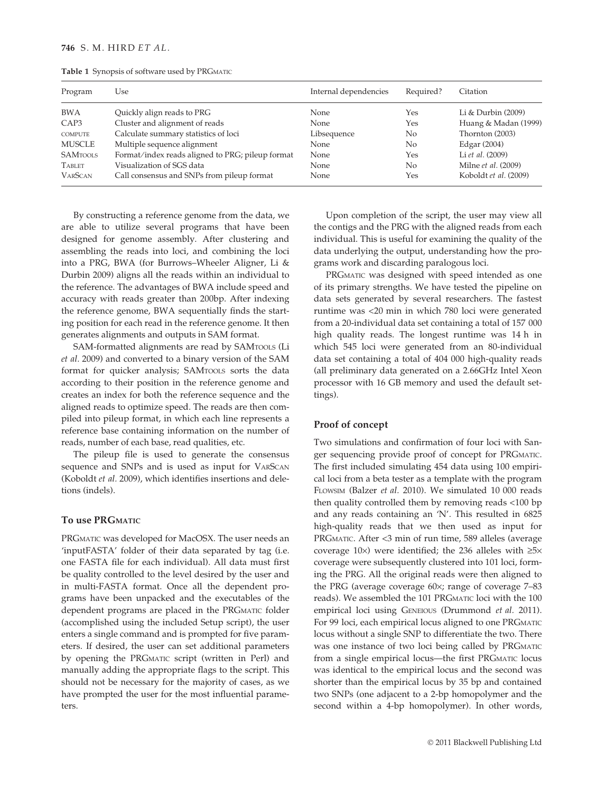# 746 S. M. HIRD ET AL.

| Program          | Use                                              | Internal dependencies | Required? | Citation                   |  |
|------------------|--------------------------------------------------|-----------------------|-----------|----------------------------|--|
| <b>BWA</b>       | Quickly align reads to PRG                       | None                  | Yes       | Li & Durbin (2009)         |  |
| CAP <sub>3</sub> | Cluster and alignment of reads                   | None                  | Yes       | Huang & Madan (1999)       |  |
| <b>COMPUTE</b>   | Calculate summary statistics of loci             | Libsequence           | No        | Thornton (2003)            |  |
| <b>MUSCLE</b>    | Multiple sequence alignment                      | None                  | No        | Edgar (2004)               |  |
| <b>SAMTOOLS</b>  | Format/index reads aligned to PRG; pileup format | None                  | Yes       | Li et al. (2009)           |  |
| <b>TABLET</b>    | Visualization of SGS data                        | None                  | No        | Milne <i>et al.</i> (2009) |  |
| <b>VARSCAN</b>   | Call consensus and SNPs from pileup format       | None                  | Yes       | Koboldt et al. (2009)      |  |

Table 1 Synopsis of software used by PRGMATIC

By constructing a reference genome from the data, we are able to utilize several programs that have been designed for genome assembly. After clustering and assembling the reads into loci, and combining the loci into a PRG, BWA (for Burrows–Wheeler Aligner, Li & Durbin 2009) aligns all the reads within an individual to the reference. The advantages of BWA include speed and accuracy with reads greater than 200bp. After indexing the reference genome, BWA sequentially finds the starting position for each read in the reference genome. It then generates alignments and outputs in SAM format.

SAM-formatted alignments are read by SAMTOOLS (Li et al. 2009) and converted to a binary version of the SAM format for quicker analysis; SAMTOOLS sorts the data according to their position in the reference genome and creates an index for both the reference sequence and the aligned reads to optimize speed. The reads are then compiled into pileup format, in which each line represents a reference base containing information on the number of reads, number of each base, read qualities, etc.

The pileup file is used to generate the consensus sequence and SNPs and is used as input for VARSCAN (Koboldt et al. 2009), which identifies insertions and deletions (indels).

## To use PRGMATIC

PRGMATIC was developed for MacOSX. The user needs an 'inputFASTA' folder of their data separated by tag (i.e. one FASTA file for each individual). All data must first be quality controlled to the level desired by the user and in multi-FASTA format. Once all the dependent programs have been unpacked and the executables of the dependent programs are placed in the PRGMATIC folder (accomplished using the included Setup script), the user enters a single command and is prompted for five parameters. If desired, the user can set additional parameters by opening the PRGMATIC script (written in Perl) and manually adding the appropriate flags to the script. This should not be necessary for the majority of cases, as we have prompted the user for the most influential parameters.

Upon completion of the script, the user may view all the contigs and the PRG with the aligned reads from each individual. This is useful for examining the quality of the data underlying the output, understanding how the programs work and discarding paralogous loci.

PRGMATIC was designed with speed intended as one of its primary strengths. We have tested the pipeline on data sets generated by several researchers. The fastest runtime was <20 min in which 780 loci were generated from a 20-individual data set containing a total of 157 000 high quality reads. The longest runtime was 14 h in which 545 loci were generated from an 80-individual data set containing a total of 404 000 high-quality reads (all preliminary data generated on a 2.66GHz Intel Xeon processor with 16 GB memory and used the default settings).

# Proof of concept

Two simulations and confirmation of four loci with Sanger sequencing provide proof of concept for PRGMATIC. The first included simulating 454 data using 100 empirical loci from a beta tester as a template with the program FLOWSIM (Balzer et al. 2010). We simulated 10 000 reads then quality controlled them by removing reads <100 bp and any reads containing an 'N'. This resulted in 6825 high-quality reads that we then used as input for PRGMATIC. After <3 min of run time, 589 alleles (average coverage 10 $\times$ ) were identified; the 236 alleles with  $\geq 5 \times$ coverage were subsequently clustered into 101 loci, forming the PRG. All the original reads were then aligned to the PRG (average coverage  $60x$ ; range of coverage  $7-83$ reads). We assembled the 101 PRGMATIC loci with the 100 empirical loci using GENEIOUS (Drummond et al. 2011). For 99 loci, each empirical locus aligned to one PRGMATIC locus without a single SNP to differentiate the two. There was one instance of two loci being called by PRGMATIC from a single empirical locus—the first PRGMATIC locus was identical to the empirical locus and the second was shorter than the empirical locus by 35 bp and contained two SNPs (one adjacent to a 2-bp homopolymer and the second within a 4-bp homopolymer). In other words,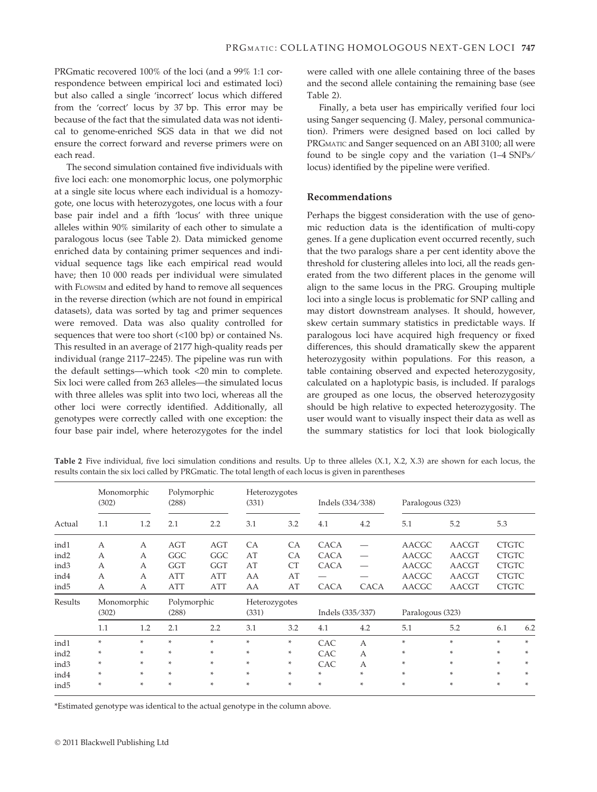PRGmatic recovered 100% of the loci (and a 99% 1:1 correspondence between empirical loci and estimated loci) but also called a single 'incorrect' locus which differed from the 'correct' locus by 37 bp. This error may be because of the fact that the simulated data was not identical to genome-enriched SGS data in that we did not ensure the correct forward and reverse primers were on each read.

The second simulation contained five individuals with five loci each: one monomorphic locus, one polymorphic at a single site locus where each individual is a homozygote, one locus with heterozygotes, one locus with a four base pair indel and a fifth 'locus' with three unique alleles within 90% similarity of each other to simulate a paralogous locus (see Table 2). Data mimicked genome enriched data by containing primer sequences and individual sequence tags like each empirical read would have; then 10 000 reads per individual were simulated with FLOWSIM and edited by hand to remove all sequences in the reverse direction (which are not found in empirical datasets), data was sorted by tag and primer sequences were removed. Data was also quality controlled for sequences that were too short (<100 bp) or contained Ns. This resulted in an average of 2177 high-quality reads per individual (range 2117–2245). The pipeline was run with the default settings—which took <20 min to complete. Six loci were called from 263 alleles—the simulated locus with three alleles was split into two loci, whereas all the other loci were correctly identified. Additionally, all genotypes were correctly called with one exception: the four base pair indel, where heterozygotes for the indel were called with one allele containing three of the bases and the second allele containing the remaining base (see Table 2).

Finally, a beta user has empirically verified four loci using Sanger sequencing (J. Maley, personal communication). Primers were designed based on loci called by PRGMATIC and Sanger sequenced on an ABI 3100; all were found to be single copy and the variation  $(1-4)$  SNPs/ locus) identified by the pipeline were verified.

## Recommendations

Perhaps the biggest consideration with the use of genomic reduction data is the identification of multi-copy genes. If a gene duplication event occurred recently, such that the two paralogs share a per cent identity above the threshold for clustering alleles into loci, all the reads generated from the two different places in the genome will align to the same locus in the PRG. Grouping multiple loci into a single locus is problematic for SNP calling and may distort downstream analyses. It should, however, skew certain summary statistics in predictable ways. If paralogous loci have acquired high frequency or fixed differences, this should dramatically skew the apparent heterozygosity within populations. For this reason, a table containing observed and expected heterozygosity, calculated on a haplotypic basis, is included. If paralogs are grouped as one locus, the observed heterozygosity should be high relative to expected heterozygosity. The user would want to visually inspect their data as well as the summary statistics for loci that look biologically

Table 2 Five individual, five loci simulation conditions and results. Up to three alleles (X.1, X.2, X.3) are shown for each locus, the results contain the six loci called by PRGmatic. The total length of each locus is given in parentheses

|                  | Monomorphic<br>(302) |        | Polymorphic<br>(288) |            | Heterozygotes<br>(331) |           | Indels (334/338) |             | Paralogous (323) |              |              |        |
|------------------|----------------------|--------|----------------------|------------|------------------------|-----------|------------------|-------------|------------------|--------------|--------------|--------|
| Actual           | 1.1                  | 1.2    | 2.1                  | 2.2        | 3.1                    | 3.2       | 4.1              | 4.2         | 5.1              | 5.2          | 5.3          |        |
| ind1             | $\mathbf{A}$         | A      | AGT                  | AGT        | <b>CA</b>              | <b>CA</b> | <b>CACA</b>      |             | AACGC            | <b>AACGT</b> | <b>CTGTC</b> |        |
| ind <sub>2</sub> | $\mathbf{A}$         | A      | GGC                  | GGC        | AT                     | <b>CA</b> | <b>CACA</b>      |             | AACGC            | <b>AACGT</b> | <b>CTGTC</b> |        |
| ind <sub>3</sub> | A                    | A      | <b>GGT</b>           | GGT        | AT                     | <b>CT</b> | <b>CACA</b>      |             | AACGC            | <b>AACGT</b> | <b>CTGTC</b> |        |
| ind4             | $\overline{A}$       | A      | <b>ATT</b>           | <b>ATT</b> | AA                     | AT        |                  |             | <b>AACGC</b>     | <b>AACGT</b> | <b>CTGTC</b> |        |
| ind <sub>5</sub> | A                    | A      | <b>ATT</b>           | <b>ATT</b> | AA                     | AT        | <b>CACA</b>      | <b>CACA</b> | AACGC            | <b>AACGT</b> | <b>CTGTC</b> |        |
| Results          | Monomorphic<br>(302) |        | Polymorphic<br>(288) |            | Heterozygotes<br>(331) |           | Indels (335/337) |             | Paralogous (323) |              |              |        |
|                  | 1.1                  | 1.2    | 2.1                  | 2.2        | 3.1                    | 3.2       | 4.1              | 4.2         | 5.1              | 5.2          | 6.1          | 6.2    |
| ind1             | ×                    | $\ast$ | *                    | *          | ÷                      | ÷         | CAC              | A           | ×                | *            | ×.           | $\ast$ |
| ind <sub>2</sub> | *                    | $\ast$ | *                    | *          | ÷                      | ÷         | <b>CAC</b>       | A           | *                | *            | ×            | $*$    |
| ind <sub>3</sub> | ×                    | ×      | ×                    | *          | ÷                      | ÷         | <b>CAC</b>       | A           | ×                | ÷            | ×.           | $*$    |
| ind4             | ×                    | ×      | ×                    | *          | ÷                      | ÷         | *                | ×           | ×                | *            | ×.           | $*$    |
| ind <sub>5</sub> | *                    | ×      | *                    | *          | ÷                      | *         | *                | $\ast$      | *                | *            | ×            | *      |

\*Estimated genotype was identical to the actual genotype in the column above.